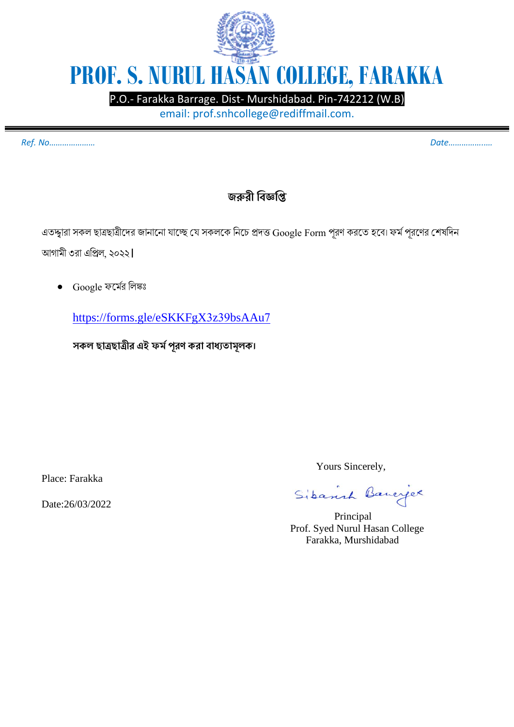

P.O.- Farakka Barrage. Dist- Murshidabad. Pin-742212 (W.B)

email: prof.snhcollege@rediffmail.com.

*Ref. No………………… Date……………..…*

## **জরুরী বিজ্ঞবি**

এতদ্দ্বারা সকল ছাত্রছাত্রীদের জানানো যাচ্ছে যে সকলকে নিচে প্রদত্ত Google Form পূরণ করতে হবে। ফর্ম পূরণের শেষদিন আগামী ৩রা এপ্রিল, ২০২২।

• Google ফদর্মর নলঙ্কঃ

<https://forms.gle/eSKKFgX3z39bsAAu7>

**সকল ছাত্রছাত্রীর এই ফর্মপূরণ করা িাধ্যতার্ূলক।**

Place: Farakka

Date:26/03/2022

Yours Sincerely,

Sibanna Bancyce

 Principal Prof. Syed Nurul Hasan College Farakka, Murshidabad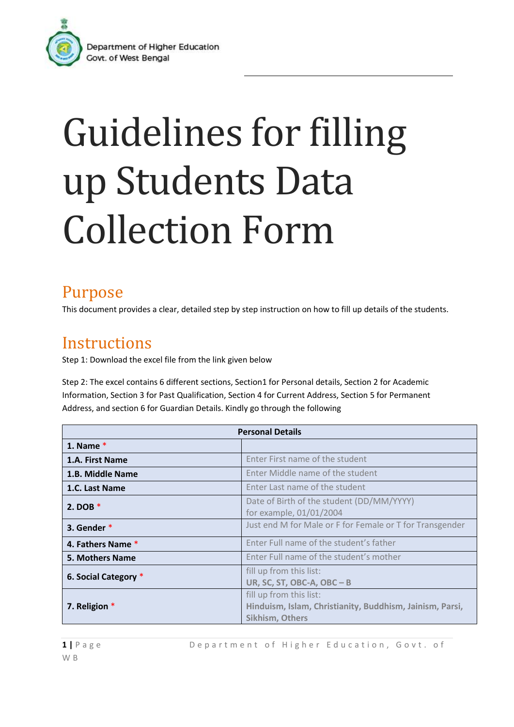

## Guidelines for filling up Students Data Collection Form

## Purpose

This document provides a clear, detailed step by step instruction on how to fill up details of the students.

## **Instructions**

Step 1: Download the excel file from the link given below

Step 2: The excel contains 6 different sections, Section1 for Personal details, Section 2 for Academic Information, Section 3 for Past Qualification, Section 4 for Current Address, Section 5 for Permanent Address, and section 6 for Guardian Details. Kindly go through the following

| <b>Personal Details</b> |                                                                                                               |
|-------------------------|---------------------------------------------------------------------------------------------------------------|
| 1. Name $*$             |                                                                                                               |
| 1.A. First Name         | Enter First name of the student                                                                               |
| 1.B. Middle Name        | Enter Middle name of the student                                                                              |
| 1.C. Last Name          | Enter Last name of the student                                                                                |
| 2. DOB $*$              | Date of Birth of the student (DD/MM/YYYY)<br>for example, 01/01/2004                                          |
| 3. Gender *             | Just end M for Male or F for Female or T for Transgender                                                      |
| 4. Fathers Name *       | Enter Full name of the student's father                                                                       |
| <b>5. Mothers Name</b>  | Enter Full name of the student's mother                                                                       |
| 6. Social Category *    | fill up from this list:<br>UR, SC, ST, OBC-A, OBC - B                                                         |
| 7. Religion *           | fill up from this list:<br>Hinduism, Islam, Christianity, Buddhism, Jainism, Parsi,<br><b>Sikhism, Others</b> |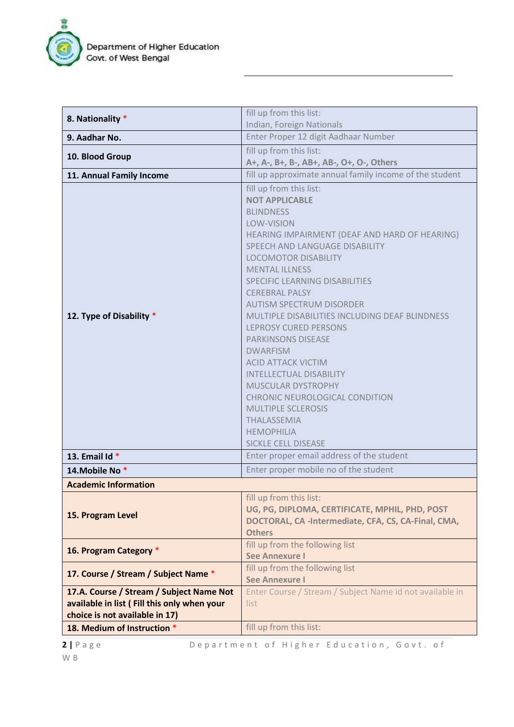

| 8. Nationality *                                                                                                           | fill up from this list:                                                                                                                                                                                                                                                                                                                                                                                                                                                                                                                                                                                                                                                                                                |  |
|----------------------------------------------------------------------------------------------------------------------------|------------------------------------------------------------------------------------------------------------------------------------------------------------------------------------------------------------------------------------------------------------------------------------------------------------------------------------------------------------------------------------------------------------------------------------------------------------------------------------------------------------------------------------------------------------------------------------------------------------------------------------------------------------------------------------------------------------------------|--|
|                                                                                                                            | Indian, Foreign Nationals                                                                                                                                                                                                                                                                                                                                                                                                                                                                                                                                                                                                                                                                                              |  |
| 9. Aadhar No.                                                                                                              | Enter Proper 12 digit Aadhaar Number                                                                                                                                                                                                                                                                                                                                                                                                                                                                                                                                                                                                                                                                                   |  |
| 10. Blood Group                                                                                                            | fill up from this list:                                                                                                                                                                                                                                                                                                                                                                                                                                                                                                                                                                                                                                                                                                |  |
|                                                                                                                            | A+, A-, B+, B-, AB+, AB-, O+, O-, Others                                                                                                                                                                                                                                                                                                                                                                                                                                                                                                                                                                                                                                                                               |  |
| 11. Annual Family Income                                                                                                   | fill up approximate annual family income of the student                                                                                                                                                                                                                                                                                                                                                                                                                                                                                                                                                                                                                                                                |  |
| 12. Type of Disability *                                                                                                   | fill up from this list:<br><b>NOT APPLICABLE</b><br><b>BLINDNESS</b><br><b>LOW-VISION</b><br>HEARING IMPAIRMENT (DEAF AND HARD OF HEARING)<br>SPEECH AND LANGUAGE DISABILITY<br><b>LOCOMOTOR DISABILITY</b><br><b>MENTAL ILLNESS</b><br><b>SPECIFIC LEARNING DISABILITIES</b><br><b>CEREBRAL PALSY</b><br><b>AUTISM SPECTRUM DISORDER</b><br>MULTIPLE DISABILITIES INCLUDING DEAF BLINDNESS<br><b>LEPROSY CURED PERSONS</b><br><b>PARKINSONS DISEASE</b><br><b>DWARFISM</b><br><b>ACID ATTACK VICTIM</b><br><b>INTELLECTUAL DISABILITY</b><br><b>MUSCULAR DYSTROPHY</b><br><b>CHRONIC NEUROLOGICAL CONDITION</b><br><b>MULTIPLE SCLEROSIS</b><br><b>THALASSEMIA</b><br><b>HEMOPHILIA</b><br><b>SICKLE CELL DISEASE</b> |  |
| 13. Email Id *                                                                                                             | Enter proper email address of the student                                                                                                                                                                                                                                                                                                                                                                                                                                                                                                                                                                                                                                                                              |  |
| 14. Mobile No*                                                                                                             | Enter proper mobile no of the student                                                                                                                                                                                                                                                                                                                                                                                                                                                                                                                                                                                                                                                                                  |  |
| <b>Academic Information</b>                                                                                                |                                                                                                                                                                                                                                                                                                                                                                                                                                                                                                                                                                                                                                                                                                                        |  |
| 15. Program Level                                                                                                          | fill up from this list:<br>UG, PG, DIPLOMA, CERTIFICATE, MPHIL, PHD, POST<br>DOCTORAL, CA -Intermediate, CFA, CS, CA-Final, CMA,<br><b>Others</b>                                                                                                                                                                                                                                                                                                                                                                                                                                                                                                                                                                      |  |
| 16. Program Category *                                                                                                     | fill up from the following list<br><b>See Annexure I</b>                                                                                                                                                                                                                                                                                                                                                                                                                                                                                                                                                                                                                                                               |  |
| 17. Course / Stream / Subject Name *                                                                                       | fill up from the following list<br><b>See Annexure I</b>                                                                                                                                                                                                                                                                                                                                                                                                                                                                                                                                                                                                                                                               |  |
| 17.A. Course / Stream / Subject Name Not<br>available in list ( Fill this only when your<br>choice is not available in 17) | Enter Course / Stream / Subject Name id not available in<br>list                                                                                                                                                                                                                                                                                                                                                                                                                                                                                                                                                                                                                                                       |  |
| 18. Medium of Instruction *                                                                                                | fill up from this list:                                                                                                                                                                                                                                                                                                                                                                                                                                                                                                                                                                                                                                                                                                |  |

**2** | P a g e D e p a r t m e n t o f Higher Education, G o v t. o f